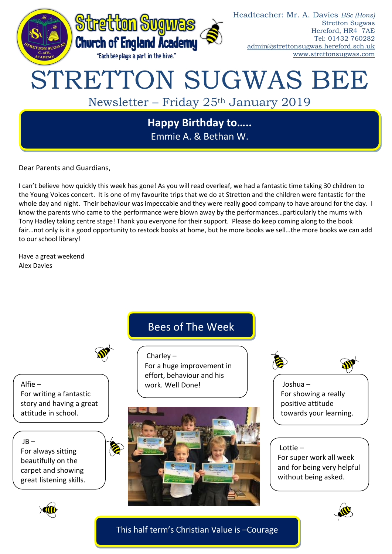

Dear Parents and Guardians,

I can't believe how quickly this week has gone! As you will read overleaf, we had a fantastic time taking 30 children to the Young Voices concert. It is one of my favourite trips that we do at Stretton and the children were fantastic for the whole day and night. Their behaviour was impeccable and they were really good company to have around for the day. I know the parents who came to the performance were blown away by the performances…particularly the mums with Tony Hadley taking centre stage! Thank you everyone for their support. Please do keep coming along to the book fair…not only is it a good opportunity to restock books at home, but he more books we sell…the more books we can add to our school library!

Have a great weekend Alex Davies

## Bees of The Week

For a huge improvement in effort, behaviour and his

Alfie – For writing a fantastic story and having a great attitude in school.

#### $JB -$

For always sitting beautifully on the carpet and showing great listening skills.



Charley –

work. Well Done!





Joshua – For showing a really positive attitude towards your learning.

#### Lottie –

For super work all week and for being very helpful without being asked.





This half term's Christian Value is –Courage